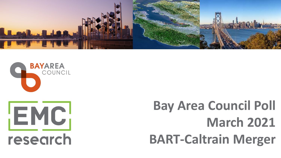



# **Bay Area Council Poll March 2021 BART-Caltrain Merger**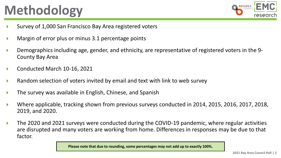## **Methodology**



- Survey of 1,000 San Francisco Bay Area registered voters
- Margin of error plus or minus 3.1 percentage points
- Demographics including age, gender, and ethnicity, are representative of registered voters in the 9- County Bay Area
- Conducted March 10-16, 2021
- Random selection of voters invited by email and text with link to web survey
- The survey was available in English, Chinese, and Spanish
- Where applicable, tracking shown from previous surveys conducted in 2014, 2015, 2016, 2017, 2018, 2019, and 2020.
- The 2020 and 2021 surveys were conducted during the COVID-19 pandemic, where regular activities are disrupted and many voters are working from home. Differences in responses may be due to that factor.

**Please note that due to rounding, some percentages may not add up to exactly 100%.**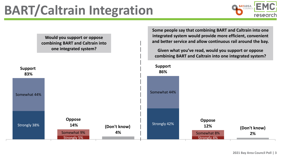

Strongly 38% Strongly 5% Strongly 42% Strongly 4% Somewhat 44% Somewhat 9% Somewhat 44% Somewhat 8% **Support 83% Oppose 14% (Don't know) 4% Support 86% Oppose 12% (Don't know) 2% Would you support or oppose combining BART and Caltrain into one integrated system? Some people say that combining BART and Caltrain into one integrated system would provide more efficient, convenient and better service and allow continuous rail around the bay. Given what you've read, would you support or oppose combining BART and Caltrain into one integrated system?**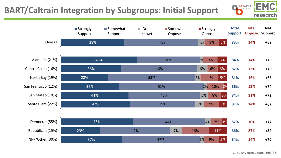### **BART/Caltrain Integration by Subgroups: Initial Support**



|                     | ■ Strongly<br>Support | Somewhat<br>Support | $\blacksquare$ (Don't<br>Know) | Somewhat<br>Oppose | ■ Strongly<br>Oppose |          | <b>Total</b><br><b>Support</b> | <b>Total</b><br><b>Oppose</b> | <b>Net</b><br><b>Support</b> |
|---------------------|-----------------------|---------------------|--------------------------------|--------------------|----------------------|----------|--------------------------------|-------------------------------|------------------------------|
| Overall             | 38%                   |                     |                                | 44%                | 4%<br>9%             | 5%       | 83%                            | 14%                           | $+69$                        |
|                     |                       |                     |                                |                    |                      |          |                                |                               |                              |
| Alameda (21%)       | 46%                   |                     |                                | 38%                | 2%<br>9%             | 6%       | 84%                            | 14%                           | $+70$                        |
| Contra Costa (16%)  | 36%                   |                     |                                | 46%                | 6%<br>6%             | 6%       | 82%                            | 12%                           | $+70$                        |
| North Bay (19%)     | 28%                   |                     | 53%                            |                    | 3%<br>11%            | 5%       | 81%                            | 16%                           | $+65$                        |
| San Francisco (12%) | 35%                   |                     |                                | 51%                | 2%<br>10%            | 2%       | 86%                            | 12%                           | $+74$                        |
| San Mateo (10%)     | 41%                   |                     |                                | 43%                | 5%<br>8%             | $ 3\% $  | 84%                            | 11%                           | $+72$                        |
| Santa Clara (22%)   | 42%                   |                     |                                | 39%                | 5%<br>9%             | 5%       | 81%                            | 14%                           | $+67$                        |
|                     |                       |                     |                                |                    |                      |          |                                |                               |                              |
| Democrat (55%)      | 43%                   |                     |                                | 44%                | 4%                   | 7%<br>3% | 87%                            | 10%                           | $+77$                        |
| Republican (15%)    | 23%                   |                     | 42%                            | 7%                 | 16%                  | 11%      | 66%                            | 27%                           | $+39$                        |
| NPP/Other (30%)     | 37%                   |                     |                                | 47%                | 2%<br>9%             | 5%       | 84%                            | 14%                           | $+70$                        |